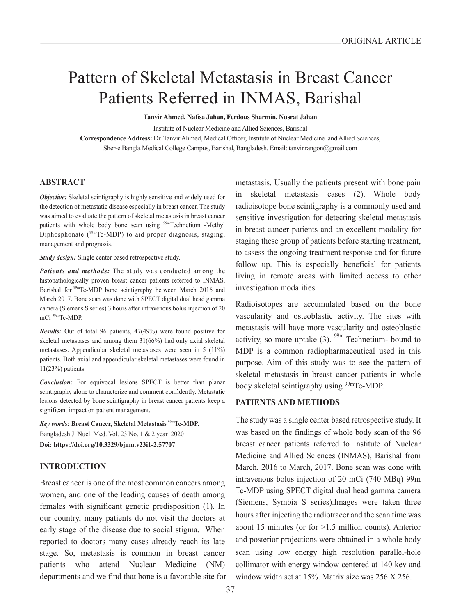# Pattern of Skeletal Metastasis in Breast Cancer Patients Referred in INMAS, Barishal

**Tanvir Ahmed, Nafisa Jahan, Ferdous Sharmin, Nusrat Jahan**

Institute of Nuclear Medicine and Allied Sciences, Barishal

**Correspondence Address:** Dr. Tanvir Ahmed, Medical Officer, Institute of Nuclear Medicine and Allied Sciences, Sher-e Bangla Medical College Campus, Barishal, Bangladesh. Email: tanvir.rangon@gmail.com

#### **ABSTRACT**

*Objective:* Skeletal scintigraphy is highly sensitive and widely used for the detection of metastatic disease especially in breast cancer. The study was aimed to evaluate the pattern of skeletal metastasis in breast cancer patients with whole body bone scan using <sup>99m</sup>Technetium -Methyl Diphosphonate  $(^{99m}$ Tc-MDP) to aid proper diagnosis, staging, management and prognosis.

*Study design:* Single center based retrospective study.

*Patients and methods:* The study was conducted among the histopathologically proven breast cancer patients referred to INMAS, Barishal for <sup>99m</sup>Tc-MDP bone scintigraphy between March 2016 and March 2017. Bone scan was done with SPECT digital dual head gamma camera (Siemens S series) 3 hours after intravenous bolus injection of 20 mCi 99m Tc-MDP.

*Results:* Out of total 96 patients, 47(49%) were found positive for skeletal metastases and among them 31(66%) had only axial skeletal metastases. Appendicular skeletal metastases were seen in 5 (11%) patients. Both axial and appendicular skeletal metastases were found in 11(23%) patients.

*Conclusion:* For equivocal lesions SPECT is better than planar scintigraphy alone to characterize and comment confidently. Metastatic lesions detected by bone scintigraphy in breast cancer patients keep a significant impact on patient management.

*Key words:* **Breast Cancer, Skeletal Metastasis 99mTc-MDP.** Bangladesh J. Nucl. Med. Vol. 23 No. 1 & 2 year 2020 **Doi: https://doi.org/10.3329/bjnm.v23i1-2.57707**

#### **INTRODUCTION**

Breast cancer is one of the most common cancers among women, and one of the leading causes of death among females with significant genetic predisposition (1). In our country, many patients do not visit the doctors at early stage of the disease due to social stigma. When reported to doctors many cases already reach its late stage. So, metastasis is common in breast cancer patients who attend Nuclear Medicine (NM) departments and we find that bone is a favorable site for metastasis. Usually the patients present with bone pain in skeletal metastasis cases (2). Whole body radioisotope bone scintigraphy is a commonly used and sensitive investigation for detecting skeletal metastasis in breast cancer patients and an excellent modality for staging these group of patients before starting treatment, to assess the ongoing treatment response and for future follow up. This is especially beneficial for patients living in remote areas with limited access to other investigation modalities.

Radioisotopes are accumulated based on the bone vascularity and osteoblastic activity. The sites with metastasis will have more vascularity and osteoblastic activity, so more uptake  $(3)$ . <sup>99m</sup> Technetium- bound to MDP is a common radiopharmaceutical used in this purpose. Aim of this study was to see the pattern of skeletal metastasis in breast cancer patients in whole body skeletal scintigraphy using <sup>99m</sup>Tc-MDP.

### **PATIENTS AND METHODS**

The study was a single center based retrospective study. It was based on the findings of whole body scan of the 96 breast cancer patients referred to Institute of Nuclear Medicine and Allied Sciences (INMAS), Barishal from March, 2016 to March, 2017. Bone scan was done with intravenous bolus injection of 20 mCi (740 MBq) 99m Tc-MDP using SPECT digital dual head gamma camera (Siemens, Symbia S series).Images were taken three hours after injecting the radiotracer and the scan time was about 15 minutes (or for >1.5 million counts). Anterior and posterior projections were obtained in a whole body scan using low energy high resolution parallel-hole collimator with energy window centered at 140 kev and window width set at 15%. Matrix size was 256 X 256.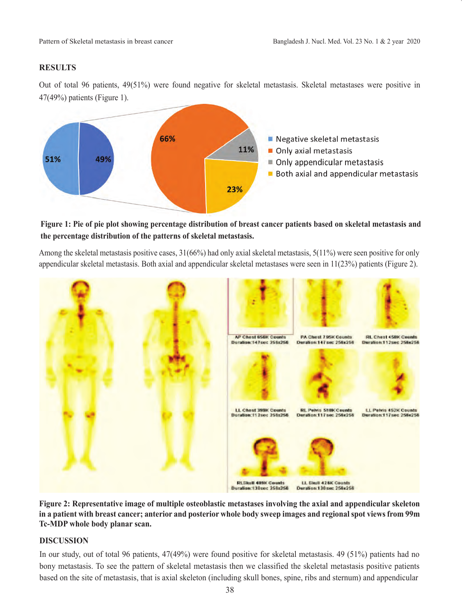## **RESULTS**

Out of total 96 patients, 49(51%) were found negative for skeletal metastasis. Skeletal metastases were positive in 47(49%) patients (Figure 1).



## **Figure 1: Pie of pie plot showing percentage distribution of breast cancer patients based on skeletal metastasis and the percentage distribution of the patterns of skeletal metastasis.**

Among the skeletal metastasis positive cases, 31(66%) had only axial skeletal metastasis, 5(11%) were seen positive for only appendicular skeletal metastasis. Both axial and appendicular skeletal metastases were seen in 11(23%) patients (Figure 2).



**Figure 2: Representative image of multiple osteoblastic metastases involving the axial and appendicular skeleton in a patient with breast cancer; anterior and posterior whole body sweep images and regional spot views from 99m Tc-MDP whole body planar scan.** 

## **DISCUSSION**

In our study, out of total 96 patients, 47(49%) were found positive for skeletal metastasis. 49 (51%) patients had no bony metastasis. To see the pattern of skeletal metastasis then we classified the skeletal metastasis positive patients based on the site of metastasis, that is axial skeleton (including skull bones, spine, ribs and sternum) and appendicular